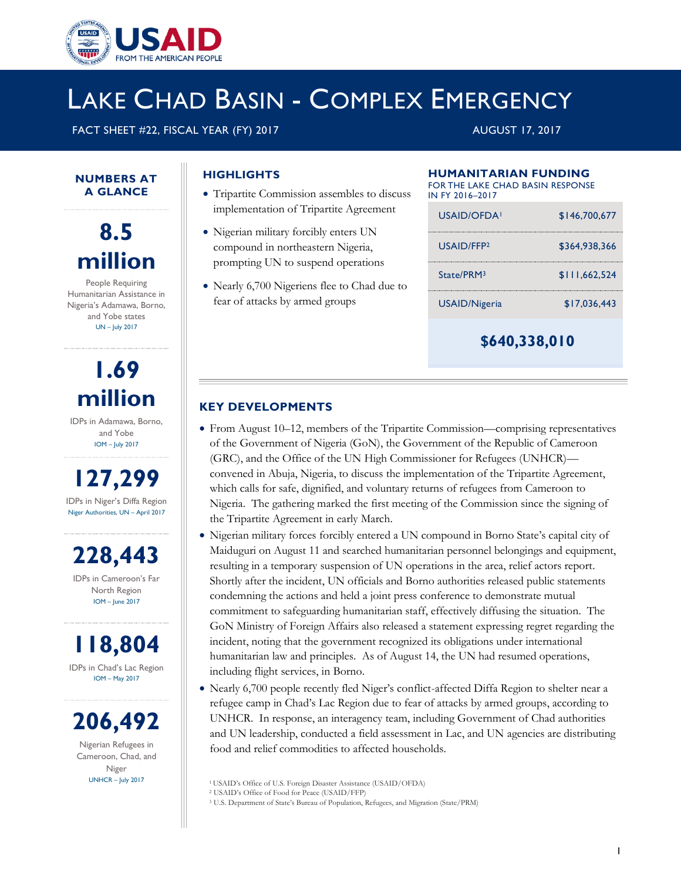

# LAKE CHAD BASIN - COMPLEX EMERGENCY

FACT SHEET #22, FISCAL YEAR (FY) 2017 AUGUST 17, 2017

### **HIGHLIGHTS**

- Tripartite Commission assembles to discuss implementation of Tripartite Agreement
- Nigerian military forcibly enters UN compound in northeastern Nigeria, prompting UN to suspend operations
- Nearly 6,700 Nigeriens flee to Chad due to fear of attacks by armed groups

## **HUMANITARIAN FUNDING**

| FOR THE LAKE CHAD BASIN RESPONSF<br>IN FY 2016-2017 |               |
|-----------------------------------------------------|---------------|
| USAID/OFDA!                                         | \$146,700,677 |
| USAID/FFP <sub>2</sub>                              | \$364,938,366 |
| State/PRM3                                          | \$111.662.524 |
| USAID/Nigeria                                       | \$17.036.443  |
|                                                     |               |

**\$640,338,010**

#### **KEY DEVELOPMENTS**

- From August 10–12, members of the Tripartite Commission—comprising representatives of the Government of Nigeria (GoN), the Government of the Republic of Cameroon (GRC), and the Office of the UN High Commissioner for Refugees (UNHCR) convened in Abuja, Nigeria, to discuss the implementation of the Tripartite Agreement, which calls for safe, dignified, and voluntary returns of refugees from Cameroon to Nigeria. The gathering marked the first meeting of the Commission since the signing of the Tripartite Agreement in early March.
- Nigerian military forces forcibly entered a UN compound in Borno State's capital city of Maiduguri on August 11 and searched humanitarian personnel belongings and equipment, resulting in a temporary suspension of UN operations in the area, relief actors report. Shortly after the incident, UN officials and Borno authorities released public statements condemning the actions and held a joint press conference to demonstrate mutual commitment to safeguarding humanitarian staff, effectively diffusing the situation. The GoN Ministry of Foreign Affairs also released a statement expressing regret regarding the incident, noting that the government recognized its obligations under international humanitarian law and principles. As of August 14, the UN had resumed operations, including flight services, in Borno.
- Nearly 6,700 people recently fled Niger's conflict-affected Diffa Region to shelter near a refugee camp in Chad's Lac Region due to fear of attacks by armed groups, according to UNHCR. In response, an interagency team, including Government of Chad authorities and UN leadership, conducted a field assessment in Lac, and UN agencies are distributing food and relief commodities to affected households.



**NUMBERS AT A GLANCE**

People Requiring Humanitarian Assistance in Nigeria's Adamawa, Borno, and Yobe states UN – July 2017

> **1.69 million**

IDPs in Adamawa, Borno, and Yobe IOM – July 2017

**127,299** IDPs in Niger's Diffa Region Niger Authorities, UN – April 2017

**228,443**

IDPs in Cameroon's Far North Region IOM – June 2017

**118,804** IDPs in Chad's Lac Region IOM – May 2017

**206,492** Nigerian Refugees in

Cameroon, Chad, and Niger UNHCR – July 2017

<sup>1</sup>USAID's Office of U.S. Foreign Disaster Assistance (USAID/OFDA)

<sup>2</sup> USAID's Office of Food for Peace (USAID/FFP)

<sup>3</sup> U.S. Department of State's Bureau of Population, Refugees, and Migration (State/PRM)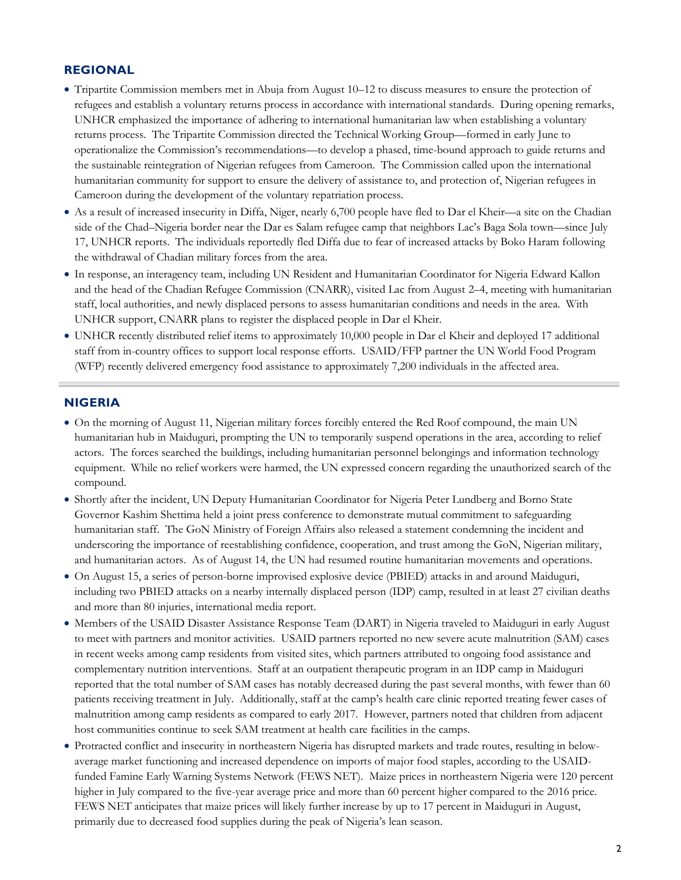#### **REGIONAL**

- Tripartite Commission members met in Abuja from August 10–12 to discuss measures to ensure the protection of refugees and establish a voluntary returns process in accordance with international standards. During opening remarks, UNHCR emphasized the importance of adhering to international humanitarian law when establishing a voluntary returns process. The Tripartite Commission directed the Technical Working Group—formed in early June to operationalize the Commission's recommendations—to develop a phased, time-bound approach to guide returns and the sustainable reintegration of Nigerian refugees from Cameroon. The Commission called upon the international humanitarian community for support to ensure the delivery of assistance to, and protection of, Nigerian refugees in Cameroon during the development of the voluntary repatriation process.
- As a result of increased insecurity in Diffa, Niger, nearly 6,700 people have fled to Dar el Kheir—a site on the Chadian side of the Chad–Nigeria border near the Dar es Salam refugee camp that neighbors Lac's Baga Sola town—since July 17, UNHCR reports. The individuals reportedly fled Diffa due to fear of increased attacks by Boko Haram following the withdrawal of Chadian military forces from the area.
- In response, an interagency team, including UN Resident and Humanitarian Coordinator for Nigeria Edward Kallon and the head of the Chadian Refugee Commission (CNARR), visited Lac from August 2–4, meeting with humanitarian staff, local authorities, and newly displaced persons to assess humanitarian conditions and needs in the area. With UNHCR support, CNARR plans to register the displaced people in Dar el Kheir.
- UNHCR recently distributed relief items to approximately 10,000 people in Dar el Kheir and deployed 17 additional staff from in-country offices to support local response efforts. USAID/FFP partner the UN World Food Program (WFP) recently delivered emergency food assistance to approximately 7,200 individuals in the affected area.

#### **NIGERIA**

- On the morning of August 11, Nigerian military forces forcibly entered the Red Roof compound, the main UN humanitarian hub in Maiduguri, prompting the UN to temporarily suspend operations in the area, according to relief actors. The forces searched the buildings, including humanitarian personnel belongings and information technology equipment. While no relief workers were harmed, the UN expressed concern regarding the unauthorized search of the compound.
- Shortly after the incident, UN Deputy Humanitarian Coordinator for Nigeria Peter Lundberg and Borno State Governor Kashim Shettima held a joint press conference to demonstrate mutual commitment to safeguarding humanitarian staff. The GoN Ministry of Foreign Affairs also released a statement condemning the incident and underscoring the importance of reestablishing confidence, cooperation, and trust among the GoN, Nigerian military, and humanitarian actors. As of August 14, the UN had resumed routine humanitarian movements and operations.
- On August 15, a series of person-borne improvised explosive device (PBIED) attacks in and around Maiduguri, including two PBIED attacks on a nearby internally displaced person (IDP) camp, resulted in at least 27 civilian deaths and more than 80 injuries, international media report.
- Members of the USAID Disaster Assistance Response Team (DART) in Nigeria traveled to Maiduguri in early August to meet with partners and monitor activities. USAID partners reported no new severe acute malnutrition (SAM) cases in recent weeks among camp residents from visited sites, which partners attributed to ongoing food assistance and complementary nutrition interventions. Staff at an outpatient therapeutic program in an IDP camp in Maiduguri reported that the total number of SAM cases has notably decreased during the past several months, with fewer than 60 patients receiving treatment in July. Additionally, staff at the camp's health care clinic reported treating fewer cases of malnutrition among camp residents as compared to early 2017. However, partners noted that children from adjacent host communities continue to seek SAM treatment at health care facilities in the camps.
- Protracted conflict and insecurity in northeastern Nigeria has disrupted markets and trade routes, resulting in belowaverage market functioning and increased dependence on imports of major food staples, according to the USAIDfunded Famine Early Warning Systems Network (FEWS NET). Maize prices in northeastern Nigeria were 120 percent higher in July compared to the five-year average price and more than 60 percent higher compared to the 2016 price. FEWS NET anticipates that maize prices will likely further increase by up to 17 percent in Maiduguri in August, primarily due to decreased food supplies during the peak of Nigeria's lean season.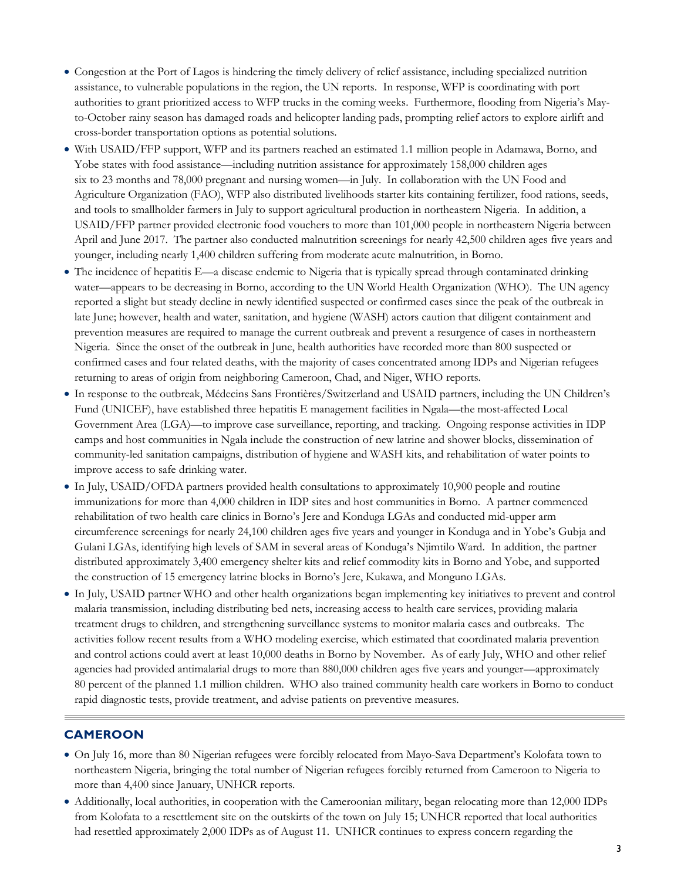- Congestion at the Port of Lagos is hindering the timely delivery of relief assistance, including specialized nutrition assistance, to vulnerable populations in the region, the UN reports. In response, WFP is coordinating with port authorities to grant prioritized access to WFP trucks in the coming weeks. Furthermore, flooding from Nigeria's Mayto-October rainy season has damaged roads and helicopter landing pads, prompting relief actors to explore airlift and cross-border transportation options as potential solutions.
- With USAID/FFP support, WFP and its partners reached an estimated 1.1 million people in Adamawa, Borno, and Yobe states with food assistance—including nutrition assistance for approximately 158,000 children ages six to 23 months and 78,000 pregnant and nursing women—in July. In collaboration with the UN Food and Agriculture Organization (FAO), WFP also distributed livelihoods starter kits containing fertilizer, food rations, seeds, and tools to smallholder farmers in July to support agricultural production in northeastern Nigeria. In addition, a USAID/FFP partner provided electronic food vouchers to more than 101,000 people in northeastern Nigeria between April and June 2017. The partner also conducted malnutrition screenings for nearly 42,500 children ages five years and younger, including nearly 1,400 children suffering from moderate acute malnutrition, in Borno.
- The incidence of hepatitis E—a disease endemic to Nigeria that is typically spread through contaminated drinking water—appears to be decreasing in Borno, according to the UN World Health Organization (WHO). The UN agency reported a slight but steady decline in newly identified suspected or confirmed cases since the peak of the outbreak in late June; however, health and water, sanitation, and hygiene (WASH) actors caution that diligent containment and prevention measures are required to manage the current outbreak and prevent a resurgence of cases in northeastern Nigeria. Since the onset of the outbreak in June, health authorities have recorded more than 800 suspected or confirmed cases and four related deaths, with the majority of cases concentrated among IDPs and Nigerian refugees returning to areas of origin from neighboring Cameroon, Chad, and Niger, WHO reports.
- In response to the outbreak, Médecins Sans Frontières/Switzerland and USAID partners, including the UN Children's Fund (UNICEF), have established three hepatitis E management facilities in Ngala—the most-affected Local Government Area (LGA)—to improve case surveillance, reporting, and tracking. Ongoing response activities in IDP camps and host communities in Ngala include the construction of new latrine and shower blocks, dissemination of community-led sanitation campaigns, distribution of hygiene and WASH kits, and rehabilitation of water points to improve access to safe drinking water.
- In July, USAID/OFDA partners provided health consultations to approximately 10,900 people and routine immunizations for more than 4,000 children in IDP sites and host communities in Borno. A partner commenced rehabilitation of two health care clinics in Borno's Jere and Konduga LGAs and conducted mid-upper arm circumference screenings for nearly 24,100 children ages five years and younger in Konduga and in Yobe's Gubja and Gulani LGAs, identifying high levels of SAM in several areas of Konduga's Njimtilo Ward. In addition, the partner distributed approximately 3,400 emergency shelter kits and relief commodity kits in Borno and Yobe, and supported the construction of 15 emergency latrine blocks in Borno's Jere, Kukawa, and Monguno LGAs.
- In July, USAID partner WHO and other health organizations began implementing key initiatives to prevent and control malaria transmission, including distributing bed nets, increasing access to health care services, providing malaria treatment drugs to children, and strengthening surveillance systems to monitor malaria cases and outbreaks. The activities follow recent results from a WHO modeling exercise, which estimated that coordinated malaria prevention and control actions could avert at least 10,000 deaths in Borno by November. As of early July, WHO and other relief agencies had provided antimalarial drugs to more than 880,000 children ages five years and younger—approximately 80 percent of the planned 1.1 million children. WHO also trained community health care workers in Borno to conduct rapid diagnostic tests, provide treatment, and advise patients on preventive measures.

#### **CAMEROON**

- On July 16, more than 80 Nigerian refugees were forcibly relocated from Mayo-Sava Department's Kolofata town to northeastern Nigeria, bringing the total number of Nigerian refugees forcibly returned from Cameroon to Nigeria to more than 4,400 since January, UNHCR reports.
- Additionally, local authorities, in cooperation with the Cameroonian military, began relocating more than 12,000 IDPs from Kolofata to a resettlement site on the outskirts of the town on July 15; UNHCR reported that local authorities had resettled approximately 2,000 IDPs as of August 11. UNHCR continues to express concern regarding the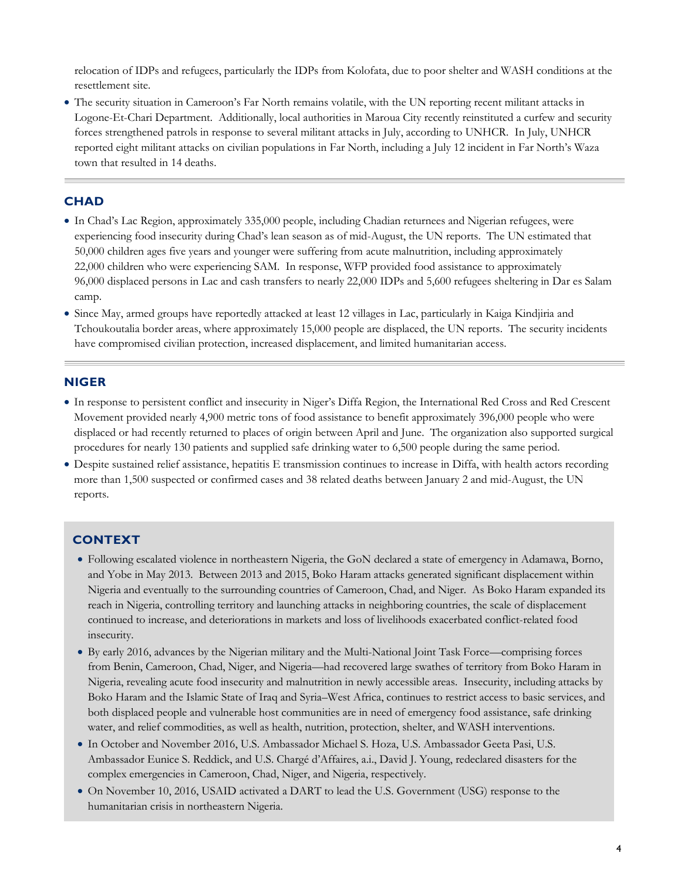relocation of IDPs and refugees, particularly the IDPs from Kolofata, due to poor shelter and WASH conditions at the resettlement site.

 The security situation in Cameroon's Far North remains volatile, with the UN reporting recent militant attacks in Logone-Et-Chari Department. Additionally, local authorities in Maroua City recently reinstituted a curfew and security forces strengthened patrols in response to several militant attacks in July, according to UNHCR. In July, UNHCR reported eight militant attacks on civilian populations in Far North, including a July 12 incident in Far North's Waza town that resulted in 14 deaths.

#### **CHAD**

- In Chad's Lac Region, approximately 335,000 people, including Chadian returnees and Nigerian refugees, were experiencing food insecurity during Chad's lean season as of mid-August, the UN reports. The UN estimated that 50,000 children ages five years and younger were suffering from acute malnutrition, including approximately 22,000 children who were experiencing SAM. In response, WFP provided food assistance to approximately 96,000 displaced persons in Lac and cash transfers to nearly 22,000 IDPs and 5,600 refugees sheltering in Dar es Salam camp.
- Since May, armed groups have reportedly attacked at least 12 villages in Lac, particularly in Kaiga Kindjiria and Tchoukoutalia border areas, where approximately 15,000 people are displaced, the UN reports. The security incidents have compromised civilian protection, increased displacement, and limited humanitarian access.

#### **NIGER**

- In response to persistent conflict and insecurity in Niger's Diffa Region, the International Red Cross and Red Crescent Movement provided nearly 4,900 metric tons of food assistance to benefit approximately 396,000 people who were displaced or had recently returned to places of origin between April and June. The organization also supported surgical procedures for nearly 130 patients and supplied safe drinking water to 6,500 people during the same period.
- Despite sustained relief assistance, hepatitis E transmission continues to increase in Diffa, with health actors recording more than 1,500 suspected or confirmed cases and 38 related deaths between January 2 and mid-August, the UN reports.

#### **CONTEXT**

- Following escalated violence in northeastern Nigeria, the GoN declared a state of emergency in Adamawa, Borno, and Yobe in May 2013. Between 2013 and 2015, Boko Haram attacks generated significant displacement within Nigeria and eventually to the surrounding countries of Cameroon, Chad, and Niger. As Boko Haram expanded its reach in Nigeria, controlling territory and launching attacks in neighboring countries, the scale of displacement continued to increase, and deteriorations in markets and loss of livelihoods exacerbated conflict-related food insecurity.
- By early 2016, advances by the Nigerian military and the Multi-National Joint Task Force—comprising forces from Benin, Cameroon, Chad, Niger, and Nigeria—had recovered large swathes of territory from Boko Haram in Nigeria, revealing acute food insecurity and malnutrition in newly accessible areas. Insecurity, including attacks by Boko Haram and the Islamic State of Iraq and Syria–West Africa, continues to restrict access to basic services, and both displaced people and vulnerable host communities are in need of emergency food assistance, safe drinking water, and relief commodities, as well as health, nutrition, protection, shelter, and WASH interventions.
- In October and November 2016, U.S. Ambassador Michael S. Hoza, U.S. Ambassador Geeta Pasi, U.S. Ambassador Eunice S. Reddick, and U.S. Chargé d'Affaires, a.i., David J. Young, redeclared disasters for the complex emergencies in Cameroon, Chad, Niger, and Nigeria, respectively.
- On November 10, 2016, USAID activated a DART to lead the U.S. Government (USG) response to the humanitarian crisis in northeastern Nigeria.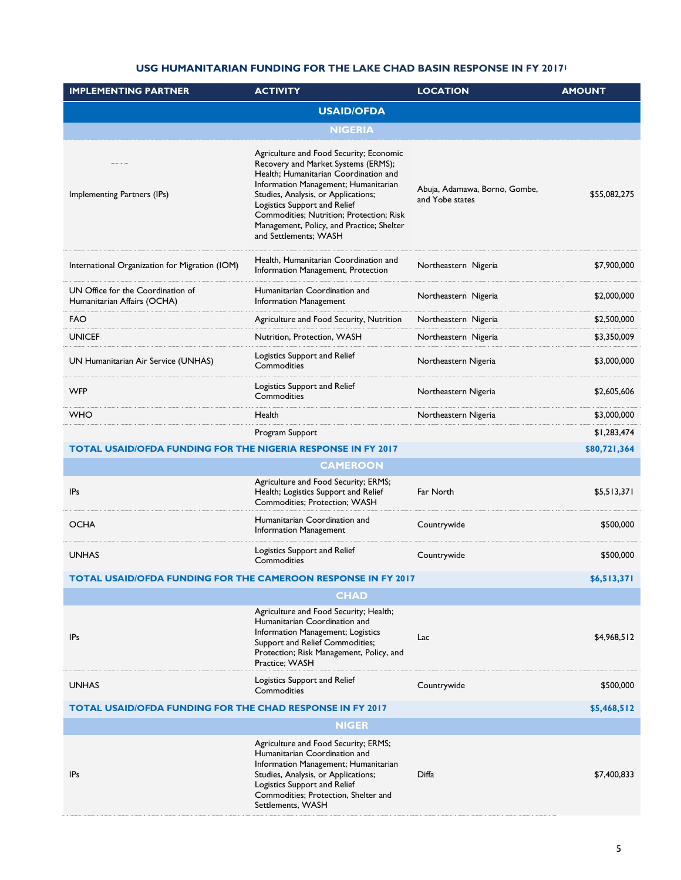#### **USG HUMANITARIAN FUNDING FOR THE LAKE CHAD BASIN RESPONSE IN FY 2017<sup>1</sup>**

| <b>IMPLEMENTING PARTNER</b>                                                     | <b>ACTIVITY</b>                                                                                                                                                                                                                                                                                                                                          | <b>LOCATION</b>                                  | <b>AMOUNT</b> |  |  |
|---------------------------------------------------------------------------------|----------------------------------------------------------------------------------------------------------------------------------------------------------------------------------------------------------------------------------------------------------------------------------------------------------------------------------------------------------|--------------------------------------------------|---------------|--|--|
| <b>USAID/OFDA</b>                                                               |                                                                                                                                                                                                                                                                                                                                                          |                                                  |               |  |  |
|                                                                                 | <b>NIGERIA</b>                                                                                                                                                                                                                                                                                                                                           |                                                  |               |  |  |
| Implementing Partners (IPs)                                                     | Agriculture and Food Security; Economic<br>Recovery and Market Systems (ERMS);<br>Health; Humanitarian Coordination and<br>Information Management; Humanitarian<br>Studies, Analysis, or Applications;<br>Logistics Support and Relief<br>Commodities; Nutrition; Protection; Risk<br>Management, Policy, and Practice; Shelter<br>and Settlements; WASH | Abuja, Adamawa, Borno, Gombe,<br>and Yobe states | \$55,082,275  |  |  |
| International Organization for Migration (IOM)                                  | Health, Humanitarian Coordination and<br>Information Management, Protection                                                                                                                                                                                                                                                                              | Northeastern Nigeria                             | \$7,900,000   |  |  |
| UN Office for the Coordination of<br>Humanitarian Affairs (OCHA)                | Humanitarian Coordination and<br><b>Information Management</b>                                                                                                                                                                                                                                                                                           | Northeastern Nigeria                             | \$2,000,000   |  |  |
| FAO                                                                             | Agriculture and Food Security, Nutrition                                                                                                                                                                                                                                                                                                                 | Northeastern Nigeria                             | \$2,500,000   |  |  |
| <b>UNICEF</b>                                                                   | Nutrition, Protection, WASH                                                                                                                                                                                                                                                                                                                              | Northeastern Nigeria                             | \$3,350,009   |  |  |
| UN Humanitarian Air Service (UNHAS)                                             | Logistics Support and Relief<br>Commodities                                                                                                                                                                                                                                                                                                              | Northeastern Nigeria                             | \$3,000,000   |  |  |
| WFP                                                                             | Logistics Support and Relief<br>Commodities                                                                                                                                                                                                                                                                                                              | Northeastern Nigeria                             | \$2,605,606   |  |  |
| <b>WHO</b>                                                                      | Health                                                                                                                                                                                                                                                                                                                                                   | Northeastern Nigeria                             | \$3,000,000   |  |  |
|                                                                                 | Program Support                                                                                                                                                                                                                                                                                                                                          |                                                  | \$1,283,474   |  |  |
| <b>TOTAL USAID/OFDA FUNDING FOR THE NIGERIA RESPONSE IN FY 2017</b>             |                                                                                                                                                                                                                                                                                                                                                          |                                                  | \$80,721,364  |  |  |
|                                                                                 | <b>CAMEROON</b>                                                                                                                                                                                                                                                                                                                                          |                                                  |               |  |  |
| IP <sub>s</sub>                                                                 | Agriculture and Food Security; ERMS;<br>Health; Logistics Support and Relief<br>Commodities; Protection; WASH                                                                                                                                                                                                                                            | Far North                                        | \$5,513,371   |  |  |
| <b>OCHA</b>                                                                     | Humanitarian Coordination and<br><b>Information Management</b>                                                                                                                                                                                                                                                                                           | Countrywide                                      | \$500,000     |  |  |
| <b>UNHAS</b>                                                                    | Logistics Support and Relief<br>Commodities                                                                                                                                                                                                                                                                                                              | Countrywide                                      | \$500,000     |  |  |
| TOTAL USAID/OFDA FUNDING FOR THE CAMEROON RESPONSE IN FY 2017                   |                                                                                                                                                                                                                                                                                                                                                          |                                                  | \$6,513,371   |  |  |
|                                                                                 | <b>CHAD</b>                                                                                                                                                                                                                                                                                                                                              |                                                  |               |  |  |
| IP <sub>s</sub>                                                                 | Agriculture and Food Security; Health;<br>Humanitarian Coordination and<br>Information Management; Logistics<br>Support and Relief Commodities;<br>Protection; Risk Management, Policy, and<br>Practice: WASH                                                                                                                                            | Lac                                              | \$4,968,512   |  |  |
| <b>UNHAS</b>                                                                    | Logistics Support and Relief<br>Commodities                                                                                                                                                                                                                                                                                                              | Countrywide                                      | \$500,000     |  |  |
| <b>TOTAL USAID/OFDA FUNDING FOR THE CHAD RESPONSE IN FY 2017</b><br>\$5,468,512 |                                                                                                                                                                                                                                                                                                                                                          |                                                  |               |  |  |
| <b>NIGER</b>                                                                    |                                                                                                                                                                                                                                                                                                                                                          |                                                  |               |  |  |
| IP <sub>s</sub>                                                                 | Agriculture and Food Security; ERMS;<br>Humanitarian Coordination and<br>Information Management; Humanitarian<br>Studies, Analysis, or Applications;<br>Logistics Support and Relief<br>Commodities; Protection, Shelter and<br>Settlements, WASH                                                                                                        | Diffa                                            | \$7,400,833   |  |  |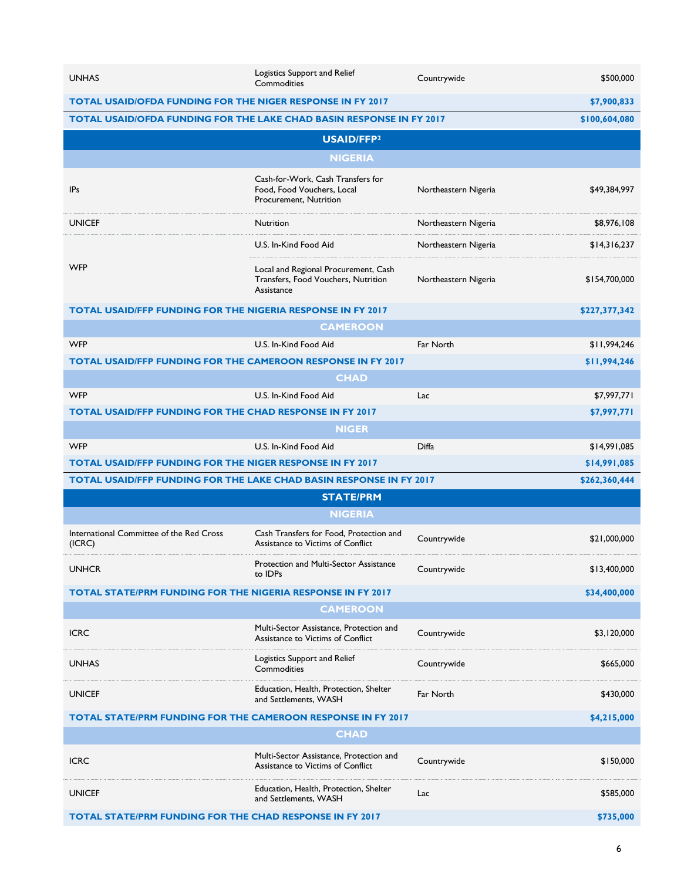| <b>UNHAS</b>                                                                | Logistics Support and Relief<br>Commodities                                               | Countrywide          | \$500,000     |  |
|-----------------------------------------------------------------------------|-------------------------------------------------------------------------------------------|----------------------|---------------|--|
| <b>TOTAL USAID/OFDA FUNDING FOR THE NIGER RESPONSE IN FY 2017</b>           |                                                                                           |                      | \$7,900,833   |  |
| <b>TOTAL USAID/OFDA FUNDING FOR THE LAKE CHAD BASIN RESPONSE IN FY 2017</b> |                                                                                           |                      | \$100,604,080 |  |
|                                                                             | USAID/FFP2                                                                                |                      |               |  |
|                                                                             | <b>NIGERIA</b>                                                                            |                      |               |  |
| <b>IPs</b>                                                                  | Cash-for-Work, Cash Transfers for<br>Food, Food Vouchers, Local<br>Procurement, Nutrition | Northeastern Nigeria | \$49,384,997  |  |
| <b>UNICEF</b>                                                               | Nutrition                                                                                 | Northeastern Nigeria | \$8,976,108   |  |
|                                                                             | U.S. In-Kind Food Aid                                                                     | Northeastern Nigeria | \$14,316,237  |  |
| <b>WFP</b>                                                                  | Local and Regional Procurement, Cash<br>Transfers, Food Vouchers, Nutrition<br>Assistance | Northeastern Nigeria | \$154,700,000 |  |
| <b>TOTAL USAID/FFP FUNDING FOR THE NIGERIA RESPONSE IN FY 2017</b>          |                                                                                           |                      | \$227,377,342 |  |
|                                                                             | <b>CAMEROON</b>                                                                           |                      |               |  |
| <b>WFP</b>                                                                  | U.S. In-Kind Food Aid                                                                     | Far North            | \$11,994,246  |  |
| <b>TOTAL USAID/FFP FUNDING FOR THE CAMEROON RESPONSE IN FY 2017</b>         |                                                                                           |                      | \$11,994,246  |  |
|                                                                             | <b>CHAD</b>                                                                               |                      |               |  |
| <b>WFP</b>                                                                  | U.S. In-Kind Food Aid                                                                     | Lac                  | \$7,997,771   |  |
| <b>TOTAL USAID/FFP FUNDING FOR THE CHAD RESPONSE IN FY 2017</b>             |                                                                                           |                      | \$7,997,771   |  |
|                                                                             | <b>NIGER</b>                                                                              |                      |               |  |
| <b>WFP</b>                                                                  | U.S. In-Kind Food Aid                                                                     | Diffa                | \$14,991,085  |  |
| <b>TOTAL USAID/FFP FUNDING FOR THE NIGER RESPONSE IN FY 2017</b>            |                                                                                           |                      | \$14,991,085  |  |
| TOTAL USAID/FFP FUNDING FOR THE LAKE CHAD BASIN RESPONSE IN FY 2017         |                                                                                           |                      | \$262,360,444 |  |
|                                                                             | <b>STATE/PRM</b>                                                                          |                      |               |  |
|                                                                             | <b>NIGERIA</b>                                                                            |                      |               |  |
| International Committee of the Red Cross<br>(ICRC)                          | Cash Transfers for Food, Protection and<br>Assistance to Victims of Conflict              | Countrywide          | \$21,000,000  |  |
| <b>UNHCR</b>                                                                | Protection and Multi-Sector Assistance<br>to IDPs                                         | Countrywide          | \$13,400,000  |  |
| TOTAL STATE/PRM FUNDING FOR THE NIGERIA RESPONSE IN FY 2017                 |                                                                                           |                      | \$34,400,000  |  |
| <b>CAMEROON</b>                                                             |                                                                                           |                      |               |  |
| <b>ICRC</b>                                                                 | Multi-Sector Assistance, Protection and<br>Assistance to Victims of Conflict              | Countrywide          | \$3,120,000   |  |
| <b>UNHAS</b>                                                                | Logistics Support and Relief<br>Commodities                                               | Countrywide          | \$665,000     |  |
| <b>UNICEF</b>                                                               | Education, Health, Protection, Shelter<br>and Settlements, WASH                           | Far North            | \$430,000     |  |
| TOTAL STATE/PRM FUNDING FOR THE CAMEROON RESPONSE IN FY 2017                |                                                                                           |                      | \$4,215,000   |  |
| <b>CHAD</b>                                                                 |                                                                                           |                      |               |  |
| <b>ICRC</b>                                                                 | Multi-Sector Assistance, Protection and<br>Assistance to Victims of Conflict              | Countrywide          | \$150,000     |  |
| <b>UNICEF</b>                                                               | Education, Health, Protection, Shelter<br>and Settlements, WASH                           | Lac                  | \$585,000     |  |
| <b>TOTAL STATE/PRM FUNDING FOR THE CHAD RESPONSE IN FY 2017</b>             |                                                                                           |                      | \$735,000     |  |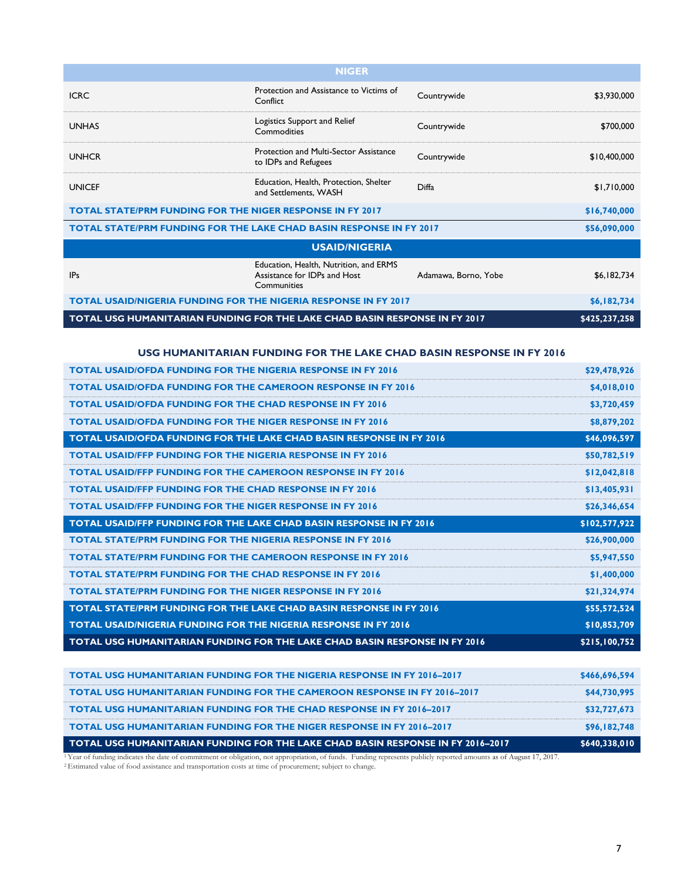| <b>NIGER</b>                                                               |                                                                                       |                      |               |  |
|----------------------------------------------------------------------------|---------------------------------------------------------------------------------------|----------------------|---------------|--|
| <b>ICRC</b>                                                                | Protection and Assistance to Victims of<br>Conflict                                   | Countrywide          | \$3,930,000   |  |
| <b>UNHAS</b>                                                               | Logistics Support and Relief<br>Commodities                                           | Countrywide          | \$700,000     |  |
| <b>UNHCR</b>                                                               | Protection and Multi-Sector Assistance<br>to IDPs and Refugees                        | Countrywide          | \$10,400,000  |  |
| <b>UNICEF</b>                                                              | Education, Health, Protection, Shelter<br>and Settlements, WASH                       | Diffa                | \$1,710,000   |  |
| <b>TOTAL STATE/PRM FUNDING FOR THE NIGER RESPONSE IN FY 2017</b>           |                                                                                       |                      | \$16,740,000  |  |
| <b>TOTAL STATE/PRM FUNDING FOR THE LAKE CHAD BASIN RESPONSE IN FY 2017</b> |                                                                                       |                      | \$56,090,000  |  |
| <b>USAID/NIGERIA</b>                                                       |                                                                                       |                      |               |  |
| IP <sub>s</sub>                                                            | Education, Health, Nutrition, and ERMS<br>Assistance for IDPs and Host<br>Communities | Adamawa, Borno, Yobe | \$6,182,734   |  |
| <b>TOTAL USAID/NIGERIA FUNDING FOR THE NIGERIA RESPONSE IN FY 2017</b>     |                                                                                       | \$6,182,734          |               |  |
| TOTAL USG HUMANITARIAN FUNDING FOR THE LAKE CHAD BASIN RESPONSE IN FY 2017 |                                                                                       |                      | \$425,237,258 |  |

#### **USG HUMANITARIAN FUNDING FOR THE LAKE CHAD BASIN RESPONSE IN FY 2016**

| <b>TOTAL USAID/OFDA FUNDING FOR THE NIGERIA RESPONSE IN FY 2016</b>             | \$29,478,926  |
|---------------------------------------------------------------------------------|---------------|
| <b>TOTAL USAID/OFDA FUNDING FOR THE CAMEROON RESPONSE IN FY 2016</b>            | \$4,018,010   |
| <b>TOTAL USAID/OFDA FUNDING FOR THE CHAD RESPONSE IN FY 2016</b>                | \$3,720,459   |
| <b>TOTAL USAID/OFDA FUNDING FOR THE NIGER RESPONSE IN FY 2016</b>               | \$8,879,202   |
| TOTAL USAID/OFDA FUNDING FOR THE LAKE CHAD BASIN RESPONSE IN FY 2016            | \$46,096,597  |
| <b>TOTAL USAID/FFP FUNDING FOR THE NIGERIA RESPONSE IN FY 2016</b>              | \$50,782,519  |
| <b>TOTAL USAID/FFP FUNDING FOR THE CAMEROON RESPONSE IN FY 2016</b>             | \$12,042,818  |
| <b>TOTAL USAID/FFP FUNDING FOR THE CHAD RESPONSE IN FY 2016</b>                 | \$13,405,931  |
| <b>TOTAL USAID/FFP FUNDING FOR THE NIGER RESPONSE IN FY 2016</b>                | \$26,346,654  |
| TOTAL USAID/FFP FUNDING FOR THE LAKE CHAD BASIN RESPONSE IN FY 2016             | \$102,577,922 |
| <b>TOTAL STATE/PRM FUNDING FOR THE NIGERIA RESPONSE IN FY 2016</b>              | \$26,900,000  |
| <b>TOTAL STATE/PRM FUNDING FOR THE CAMEROON RESPONSE IN FY 2016</b>             | \$5,947,550   |
| <b>TOTAL STATE/PRM FUNDING FOR THE CHAD RESPONSE IN FY 2016</b>                 | \$1,400,000   |
| <b>TOTAL STATE/PRM FUNDING FOR THE NIGER RESPONSE IN FY 2016</b>                | \$21,324,974  |
| TOTAL STATE/PRM FUNDING FOR THE LAKE CHAD BASIN RESPONSE IN FY 2016             | \$55,572,524  |
| <b>TOTAL USAID/NIGERIA FUNDING FOR THE NIGERIA RESPONSE IN FY 2016</b>          | \$10,853,709  |
| TOTAL USG HUMANITARIAN FUNDING FOR THE LAKE CHAD BASIN RESPONSE IN FY 2016      | \$215,100,752 |
|                                                                                 |               |
| <b>TOTAL USG HUMANITARIAN FUNDING FOR THE NIGERIA RESPONSE IN FY 2016-2017</b>  | \$466,696,594 |
| <b>TOTAL USG HUMANITARIAN FUNDING FOR THE CAMEROON RESPONSE IN FY 2016-2017</b> | \$44,730,995  |
| TOTAL USG HUMANITARIAN FUNDING FOR THE CHAD RESPONSE IN FY 2016-2017            | \$32,727,673  |
| TOTAL USG HUMANITARIAN FUNDING FOR THE NIGER RESPONSE IN FY 2016-2017           | \$96,182,748  |

**TOTAL USG HUMANITARIAN FUNDING FOR THE LAKE CHAD BASIN RESPONSE IN FY 2016–2017 \$640,338,010**

<sup>1</sup>Year of funding indicates the date of commitment or obligation, not appropriation, of funds. Funding represents publicly reported amounts as of August 17, 2017.

<sup>2</sup> Estimated value of food assistance and transportation costs at time of procurement; subject to change.